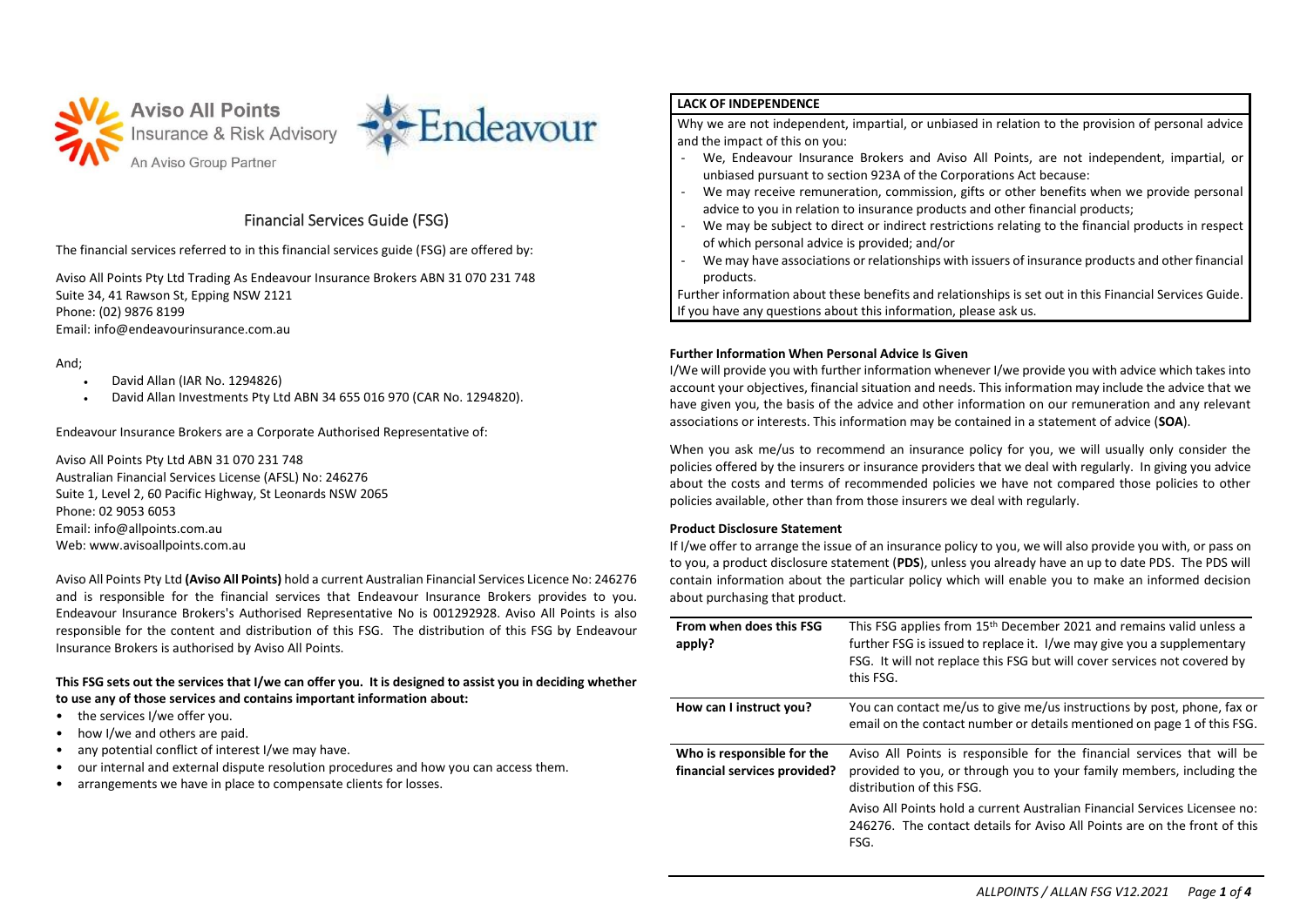

# Financial Services Guide (FSG)

The financial services referred to in this financial services guide (FSG) are offered by:

Aviso All Points Pty Ltd Trading As Endeavour Insurance Brokers ABN 31 070 231 748 Suite 34, 41 Rawson St, Epping NSW 2121 Phone: (02) 9876 8199 Email: info@endeavourinsurance.com.au

#### And;

- David Allan (IAR No. 1294826)
- David Allan Investments Pty Ltd ABN 34 655 016 970 (CAR No. 1294820).

Endeavour Insurance Brokers are a Corporate Authorised Representative of:

Aviso All Points Pty Ltd ABN 31 070 231 748 Australian Financial Services License (AFSL) No: 246276 Suite 1, Level 2, 60 Pacific Highway, St Leonards NSW 2065 Phone: 02 9053 6053 Email: info@allpoints.com.au Web: www.avisoallpoints.com.au

Aviso All Points Pty Ltd **(Aviso All Points)** hold a current Australian Financial Services Licence No: 246276 and is responsible for the financial services that Endeavour Insurance Brokers provides to you. Endeavour Insurance Brokers's Authorised Representative No is 001292928. Aviso All Points is also responsible for the content and distribution of this FSG. The distribution of this FSG by Endeavour Insurance Brokers is authorised by Aviso All Points.

## **This FSG sets out the services that I/we can offer you. It is designed to assist you in deciding whether to use any of those services and contains important information about:**

- the services I/we offer you.
- how I/we and others are paid.
- any potential conflict of interest I/we may have.
- our internal and external dispute resolution procedures and how you can access them.
- arrangements we have in place to compensate clients for losses.

#### **LACK OF INDEPENDENCE**

Why we are not independent, impartial, or unbiased in relation to the provision of personal advice and the impact of this on you:

- We, Endeavour Insurance Brokers and Aviso All Points, are not independent, impartial, or unbiased pursuant to section 923A of the Corporations Act because:
- We may receive remuneration, commission, gifts or other benefits when we provide personal advice to you in relation to insurance products and other financial products;
- We may be subject to direct or indirect restrictions relating to the financial products in respect of which personal advice is provided; and/or
- We may have associations or relationships with issuers of insurance products and other financial products.

Further information about these benefits and relationships is set out in this Financial Services Guide. If you have any questions about this information, please ask us.

#### **Further Information When Personal Advice Is Given**

I/We will provide you with further information whenever I/we provide you with advice which takes into account your objectives, financial situation and needs. This information may include the advice that we have given you, the basis of the advice and other information on our remuneration and any relevant associations or interests. This information may be contained in a statement of advice (**SOA**).

When you ask me/us to recommend an insurance policy for you, we will usually only consider the policies offered by the insurers or insurance providers that we deal with regularly. In giving you advice about the costs and terms of recommended policies we have not compared those policies to other policies available, other than from those insurers we deal with regularly.

## **Product Disclosure Statement**

If I/we offer to arrange the issue of an insurance policy to you, we will also provide you with, or pass on to you, a product disclosure statement (**PDS**), unless you already have an up to date PDS. The PDS will contain information about the particular policy which will enable you to make an informed decision about purchasing that product.

| From when does this FSG<br>apply?                          | This FSG applies from 15 <sup>th</sup> December 2021 and remains valid unless a<br>further FSG is issued to replace it. I/we may give you a supplementary<br>FSG. It will not replace this FSG but will cover services not covered by<br>this FSG. |
|------------------------------------------------------------|----------------------------------------------------------------------------------------------------------------------------------------------------------------------------------------------------------------------------------------------------|
| How can I instruct you?                                    | You can contact me/us to give me/us instructions by post, phone, fax or<br>email on the contact number or details mentioned on page 1 of this FSG.                                                                                                 |
| Who is responsible for the<br>financial services provided? | Aviso All Points is responsible for the financial services that will be<br>provided to you, or through you to your family members, including the<br>distribution of this FSG.                                                                      |
|                                                            | Aviso All Points hold a current Australian Financial Services Licensee no:<br>246276. The contact details for Aviso All Points are on the front of this<br>FSG.                                                                                    |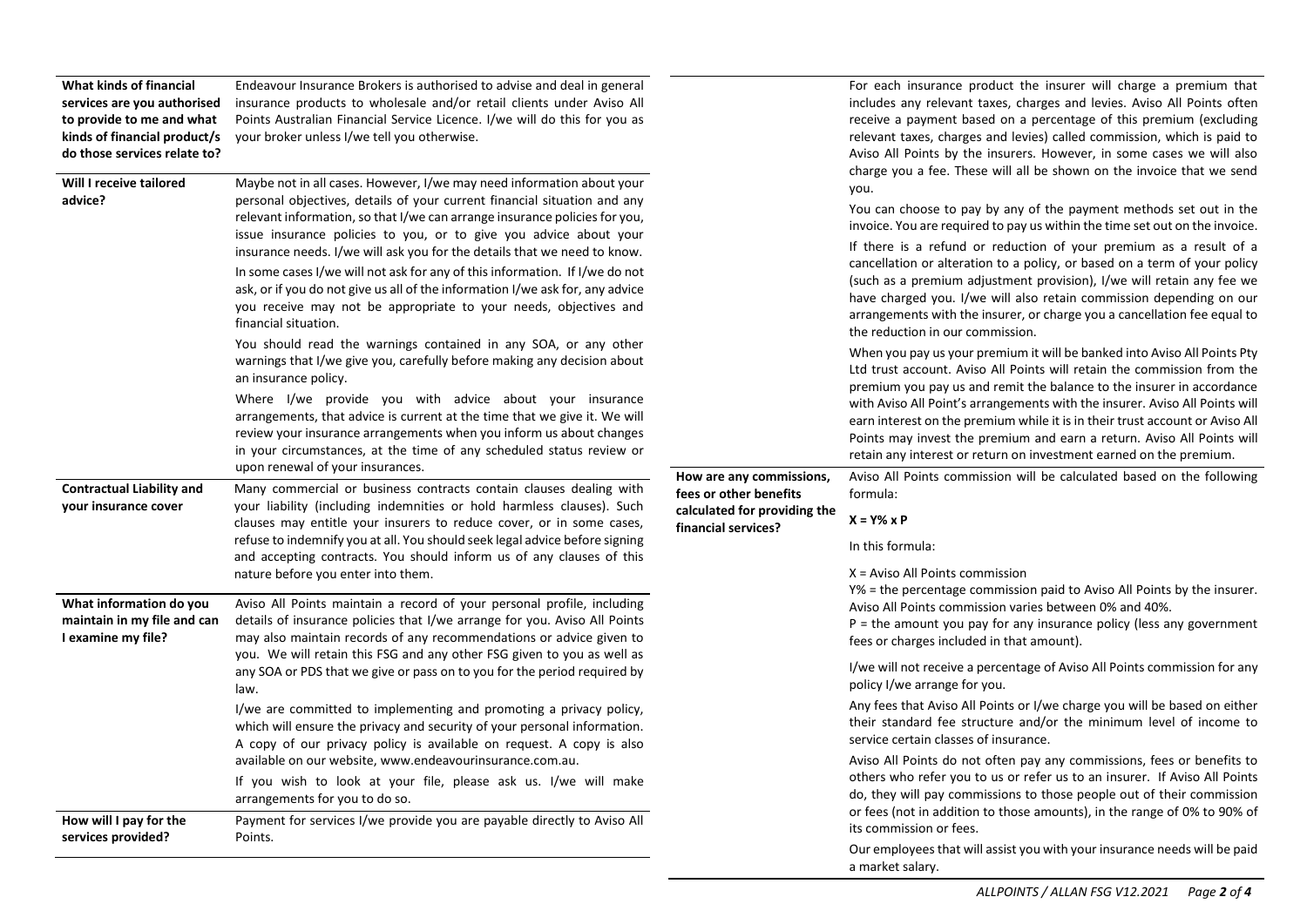| What kinds of financial<br>services are you authorised<br>to provide to me and what<br>kinds of financial product/s<br>do those services relate to?<br>Will I receive tailored<br>advice? | Endeavour Insurance Brokers is authorised to advise and deal in general<br>insurance products to wholesale and/or retail clients under Aviso All<br>Points Australian Financial Service Licence. I/we will do this for you as<br>your broker unless I/we tell you otherwise.<br>Maybe not in all cases. However, I/we may need information about your<br>personal objectives, details of your current financial situation and any<br>relevant information, so that I/we can arrange insurance policies for you,<br>issue insurance policies to you, or to give you advice about your<br>insurance needs. I/we will ask you for the details that we need to know.<br>In some cases I/we will not ask for any of this information. If I/we do not<br>ask, or if you do not give us all of the information I/we ask for, any advice<br>you receive may not be appropriate to your needs, objectives and<br>financial situation.<br>You should read the warnings contained in any SOA, or any other |                                                                                                           | For each insurance product the insurer will charge a premium that<br>includes any relevant taxes, charges and levies. Aviso All Points often<br>receive a payment based on a percentage of this premium (excluding<br>relevant taxes, charges and levies) called commission, which is paid to<br>Aviso All Points by the insurers. However, in some cases we will also<br>charge you a fee. These will all be shown on the invoice that we send<br>you.<br>You can choose to pay by any of the payment methods set out in the<br>invoice. You are required to pay us within the time set out on the invoice.<br>If there is a refund or reduction of your premium as a result of a<br>cancellation or alteration to a policy, or based on a term of your policy<br>(such as a premium adjustment provision), I/we will retain any fee we<br>have charged you. I/we will also retain commission depending on our<br>arrangements with the insurer, or charge you a cancellation fee equal to<br>the reduction in our commission.<br>When you pay us your premium it will be banked into Aviso All Points Pty |
|-------------------------------------------------------------------------------------------------------------------------------------------------------------------------------------------|-------------------------------------------------------------------------------------------------------------------------------------------------------------------------------------------------------------------------------------------------------------------------------------------------------------------------------------------------------------------------------------------------------------------------------------------------------------------------------------------------------------------------------------------------------------------------------------------------------------------------------------------------------------------------------------------------------------------------------------------------------------------------------------------------------------------------------------------------------------------------------------------------------------------------------------------------------------------------------------------------|-----------------------------------------------------------------------------------------------------------|-------------------------------------------------------------------------------------------------------------------------------------------------------------------------------------------------------------------------------------------------------------------------------------------------------------------------------------------------------------------------------------------------------------------------------------------------------------------------------------------------------------------------------------------------------------------------------------------------------------------------------------------------------------------------------------------------------------------------------------------------------------------------------------------------------------------------------------------------------------------------------------------------------------------------------------------------------------------------------------------------------------------------------------------------------------------------------------------------------------|
|                                                                                                                                                                                           | warnings that I/we give you, carefully before making any decision about<br>an insurance policy.<br>Where I/we provide you with advice about your insurance<br>arrangements, that advice is current at the time that we give it. We will<br>review your insurance arrangements when you inform us about changes<br>in your circumstances, at the time of any scheduled status review or<br>upon renewal of your insurances.                                                                                                                                                                                                                                                                                                                                                                                                                                                                                                                                                                      |                                                                                                           | Ltd trust account. Aviso All Points will retain the commission from the<br>premium you pay us and remit the balance to the insurer in accordance<br>with Aviso All Point's arrangements with the insurer. Aviso All Points will<br>earn interest on the premium while it is in their trust account or Aviso All<br>Points may invest the premium and earn a return. Aviso All Points will<br>retain any interest or return on investment earned on the premium.                                                                                                                                                                                                                                                                                                                                                                                                                                                                                                                                                                                                                                             |
| <b>Contractual Liability and</b><br>your insurance cover                                                                                                                                  | Many commercial or business contracts contain clauses dealing with<br>your liability (including indemnities or hold harmless clauses). Such<br>clauses may entitle your insurers to reduce cover, or in some cases,<br>refuse to indemnify you at all. You should seek legal advice before signing<br>and accepting contracts. You should inform us of any clauses of this<br>nature before you enter into them.                                                                                                                                                                                                                                                                                                                                                                                                                                                                                                                                                                                | How are any commissions,<br>fees or other benefits<br>calculated for providing the<br>financial services? | Aviso All Points commission will be calculated based on the following<br>formula:<br>$X = Y\% \times P$<br>In this formula:<br>X = Aviso All Points commission<br>Y% = the percentage commission paid to Aviso All Points by the insurer.                                                                                                                                                                                                                                                                                                                                                                                                                                                                                                                                                                                                                                                                                                                                                                                                                                                                   |
| What information do you<br>maintain in my file and can<br>I examine my file?                                                                                                              | Aviso All Points maintain a record of your personal profile, including<br>details of insurance policies that I/we arrange for you. Aviso All Points<br>may also maintain records of any recommendations or advice given to<br>you. We will retain this FSG and any other FSG given to you as well as<br>any SOA or PDS that we give or pass on to you for the period required by<br>law.<br>I/we are committed to implementing and promoting a privacy policy,<br>which will ensure the privacy and security of your personal information.<br>A copy of our privacy policy is available on request. A copy is also<br>available on our website, www.endeavourinsurance.com.au.<br>If you wish to look at your file, please ask us. I/we will make<br>arrangements for you to do so.                                                                                                                                                                                                             |                                                                                                           | Aviso All Points commission varies between 0% and 40%.<br>$P =$ the amount you pay for any insurance policy (less any government<br>fees or charges included in that amount).<br>I/we will not receive a percentage of Aviso All Points commission for any<br>policy I/we arrange for you.<br>Any fees that Aviso All Points or I/we charge you will be based on either<br>their standard fee structure and/or the minimum level of income to<br>service certain classes of insurance.<br>Aviso All Points do not often pay any commissions, fees or benefits to<br>others who refer you to us or refer us to an insurer. If Aviso All Points<br>do, they will pay commissions to those people out of their commission<br>or fees (not in addition to those amounts), in the range of 0% to 90% of                                                                                                                                                                                                                                                                                                          |
| How will I pay for the<br>services provided?                                                                                                                                              | Payment for services I/we provide you are payable directly to Aviso All<br>Points.                                                                                                                                                                                                                                                                                                                                                                                                                                                                                                                                                                                                                                                                                                                                                                                                                                                                                                              |                                                                                                           | its commission or fees.<br>Our employees that will assist you with your insurance needs will be paid<br>a market salary.                                                                                                                                                                                                                                                                                                                                                                                                                                                                                                                                                                                                                                                                                                                                                                                                                                                                                                                                                                                    |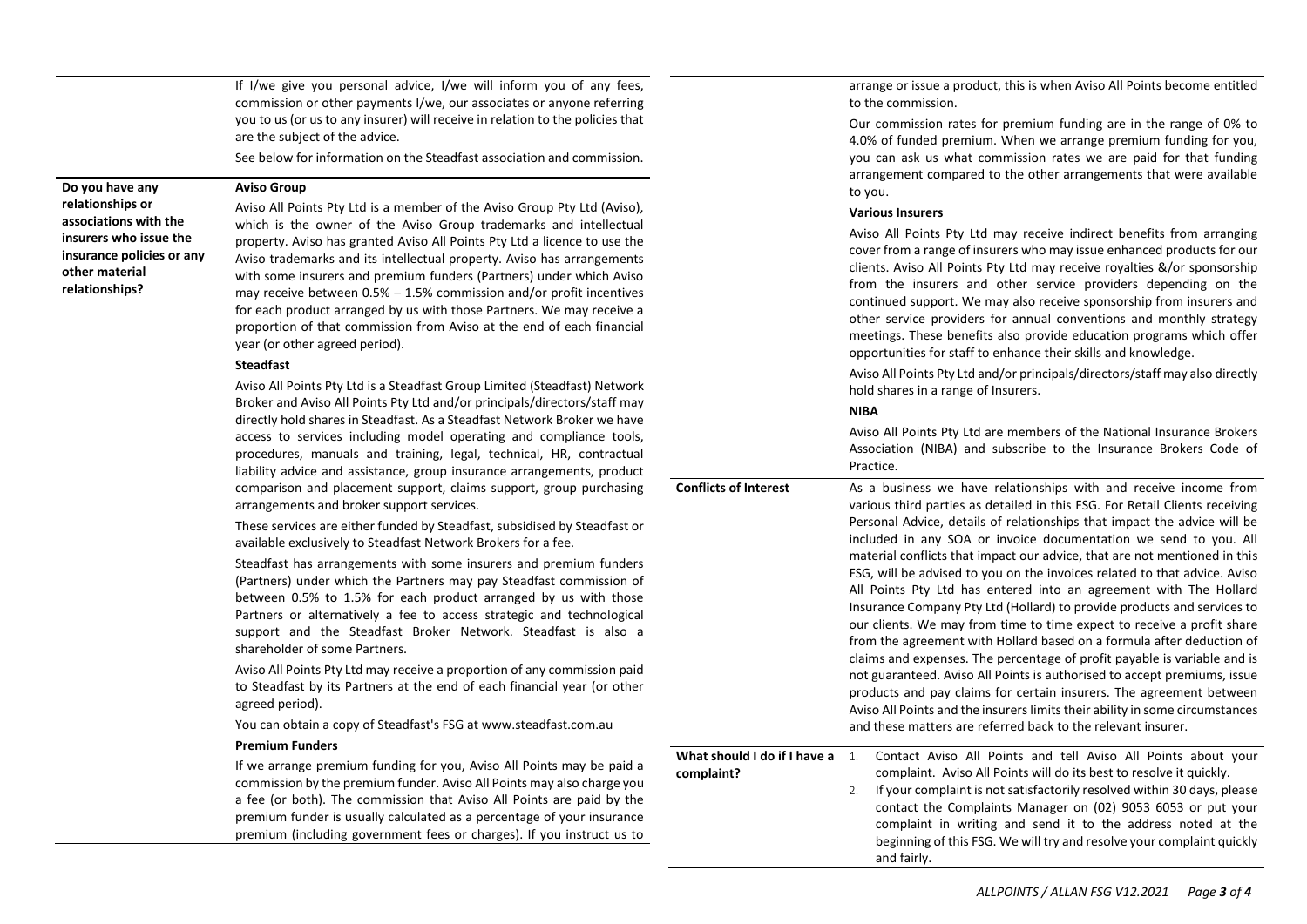If I/we give you personal advice, I/we will inform you of any fees, commission or other payments I/we, our associates or anyone referring you to us (or us to any insurer) will receive in relation to the policies that are the subject of the advice.

See below for information on the Steadfast association and commission.

## **Do you have any relationships or associations with the insurers who issue the insurance policies or any other material relationships?**

#### **Aviso Group**

Aviso All Points Pty Ltd is a member of the Aviso Group Pty Ltd (Aviso), which is the owner of the Aviso Group trademarks and intellectual property. Aviso has granted Aviso All Points Pty Ltd a licence to use the Aviso trademarks and its intellectual property. Aviso has arrangements with some insurers and premium funders (Partners) under which Aviso may receive between 0.5% – 1.5% commission and/or profit incentives for each product arranged by us with those Partners. We may receive a proportion of that commission from Aviso at the end of each financial year (or other agreed period).

## **Steadfast**

Aviso All Points Pty Ltd is a Steadfast Group Limited (Steadfast) Network Broker and Aviso All Points Pty Ltd and/or principals/directors/staff may directly hold shares in Steadfast. As a Steadfast Network Broker we have access to services including model operating and compliance tools, procedures, manuals and training, legal, technical, HR, contractual liability advice and assistance, group insurance arrangements, product comparison and placement support, claims support, group purchasing arrangements and broker support services.

These services are either funded by Steadfast, subsidised by Steadfast or available exclusively to Steadfast Network Brokers for a fee.

Steadfast has arrangements with some insurers and premium funders (Partners) under which the Partners may pay Steadfast commission of between 0.5% to 1.5% for each product arranged by us with those Partners or alternatively a fee to access strategic and technological support and the Steadfast Broker Network. Steadfast is also a shareholder of some Partners.

Aviso All Points Pty Ltd may receive a proportion of any commission paid to Steadfast by its Partners at the end of each financial year (or other agreed period).

You can obtain a copy of Steadfast's FSG at www.steadfast.com.au

#### **Premium Funders**

If we arrange premium funding for you, Aviso All Points may be paid a commission by the premium funder. Aviso All Points may also charge you a fee (or both). The commission that Aviso All Points are paid by the premium funder is usually calculated as a percentage of your insurance premium (including government fees or charges). If you instruct us to arrange or issue a product, this is when Aviso All Points become entitled to the commission.

Our commission rates for premium funding are in the range of 0% to 4.0% of funded premium. When we arrange premium funding for you, you can ask us what commission rates we are paid for that funding arrangement compared to the other arrangements that were available to you.

#### **Various Insurers**

Aviso All Points Pty Ltd may receive indirect benefits from arranging cover from a range of insurers who may issue enhanced products for our clients. Aviso All Points Pty Ltd may receive royalties &/or sponsorship from the insurers and other service providers depending on the continued support. We may also receive sponsorship from insurers and other service providers for annual conventions and monthly strategy meetings. These benefits also provide education programs which offer opportunities for staff to enhance their skills and knowledge.

Aviso All Points Pty Ltd and/or principals/directors/staff may also directly hold shares in a range of Insurers.

#### **NIBA**

Aviso All Points Pty Ltd are members of the National Insurance Brokers Association (NIBA) and subscribe to the Insurance Brokers Code of Practice.

**Conflicts of Interest** As a business we have relationships with and receive income from various third parties as detailed in this FSG. For Retail Clients receiving Personal Advice, details of relationships that impact the advice will be included in any SOA or invoice documentation we send to you. All material conflicts that impact our advice, that are not mentioned in this FSG, will be advised to you on the invoices related to that advice. Aviso All Points Pty Ltd has entered into an agreement with The Hollard Insurance Company Pty Ltd (Hollard) to provide products and services to our clients. We may from time to time expect to receive a profit share from the agreement with Hollard based on a formula after deduction of claims and expenses. The percentage of profit payable is variable and is not guaranteed. Aviso All Points is authorised to accept premiums, issue products and pay claims for certain insurers. The agreement between Aviso All Points and the insurers limits their ability in some circumstances and these matters are referred back to the relevant insurer.

|            |    | What should I do if I have a 1. Contact Aviso All Points and tell Aviso All Points about your |
|------------|----|-----------------------------------------------------------------------------------------------|
| complaint? |    | complaint. Aviso All Points will do its best to resolve it quickly.                           |
|            | 2. | If your complaint is not satisfactorily resolved within 30 days, please                       |
|            |    | contact the Complaints Manager on (02) 9053 6053 or put your                                  |
|            |    | complaint in writing and send it to the address noted at the                                  |
|            |    | beginning of this FSG. We will try and resolve your complaint quickly                         |
|            |    | and fairly.                                                                                   |